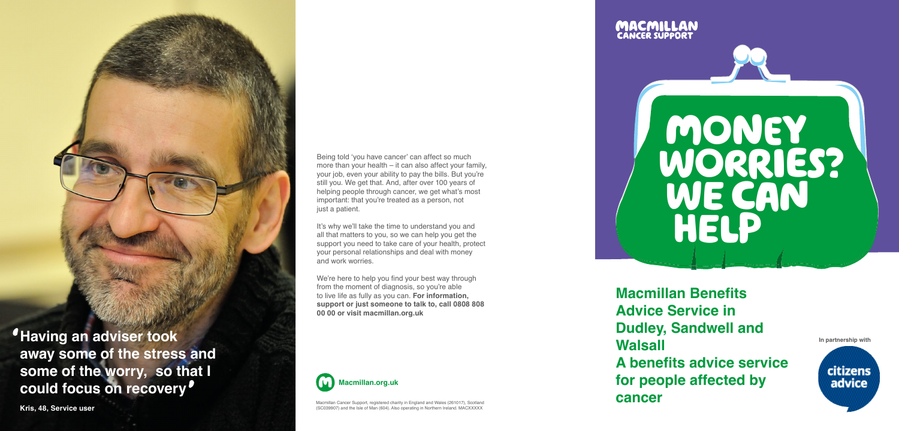

Macmillan Cancer Support, registered charity in England and Wales (261017), Scotland (SC039907) and the Isle of Man (604). Also operating in Northern Ireland. MACXXXXX



Being told 'you have cancer' can affect so much more than your health – it can also affect your family, your job, even your ability to pay the bills. But you're still you. We get that. And, after over 100 years of helping people through cancer, we get what's most important: that you're treated as a person, not just a patient.

It's why we'll take the time to understand you and all that matters to you, so we can help you get the support you need to take care of your health, protect your personal relationships and deal with money and work worries.

We're here to help you find your best way through from the moment of diagnosis, so you're able to live life as fully as you can. **For information, support or just someone to talk to, call 0808 808 00 00 or visit macmillan.org.uk**

# money worries? WE CAN HEL



**IDUGITY, SANGWEIT AND DUGITY, SANGWEIT AND DEVICE AND A THE RESIDENT OF A THE PARTNERS NICE OF A THE PARTNERS NICE OF A THE PARTNERS NICE OF A THE PARTNERS NICE OF A THE PARTNERS NICE OF A THE PARTNERS NICE OF A THE PARTN away some of the stress and some of the worry, so that I could focus on recovery** 

**Macmillan Benefits Advice Service in Dudley, Sandwell and Walsall A benefits advice service for people affected by cancer**



**Kris, 48, Service user**